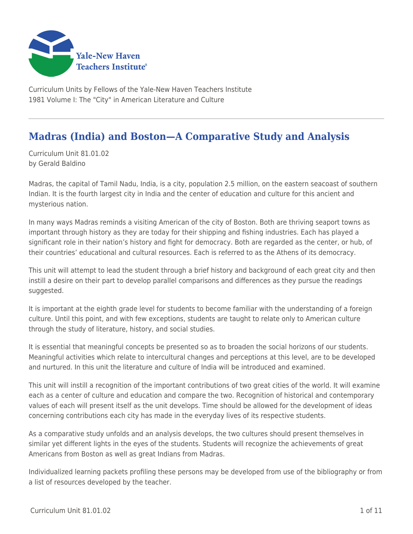

Curriculum Units by Fellows of the Yale-New Haven Teachers Institute 1981 Volume I: The "City" in American Literature and Culture

# **Madras (India) and Boston—A Comparative Study and Analysis**

Curriculum Unit 81.01.02 by Gerald Baldino

Madras, the capital of Tamil Nadu, India, is a city, population 2.5 million, on the eastern seacoast of southern Indian. It is the fourth largest city in India and the center of education and culture for this ancient and mysterious nation.

In many ways Madras reminds a visiting American of the city of Boston. Both are thriving seaport towns as important through history as they are today for their shipping and fishing industries. Each has played a significant role in their nation's history and fight for democracy. Both are regarded as the center, or hub, of their countries' educational and cultural resources. Each is referred to as the Athens of its democracy.

This unit will attempt to lead the student through a brief history and background of each great city and then instill a desire on their part to develop parallel comparisons and differences as they pursue the readings suggested.

It is important at the eighth grade level for students to become familiar with the understanding of a foreign culture. Until this point, and with few exceptions, students are taught to relate only to American culture through the study of literature, history, and social studies.

It is essential that meaningful concepts be presented so as to broaden the social horizons of our students. Meaningful activities which relate to intercultural changes and perceptions at this level, are to be developed and nurtured. In this unit the literature and culture of India will be introduced and examined.

This unit will instill a recognition of the important contributions of two great cities of the world. It will examine each as a center of culture and education and compare the two. Recognition of historical and contemporary values of each will present itself as the unit develops. Time should be allowed for the development of ideas concerning contributions each city has made in the everyday lives of its respective students.

As a comparative study unfolds and an analysis develops, the two cultures should present themselves in similar yet different lights in the eyes of the students. Students will recognize the achievements of great Americans from Boston as well as great Indians from Madras.

Individualized learning packets profiling these persons may be developed from use of the bibliography or from a list of resources developed by the teacher.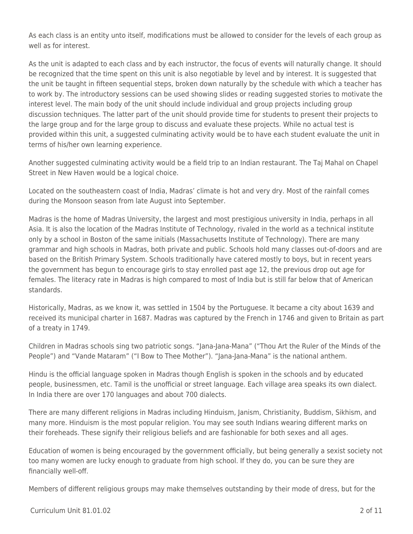As each class is an entity unto itself, modifications must be allowed to consider for the levels of each group as well as for interest.

As the unit is adapted to each class and by each instructor, the focus of events will naturally change. It should be recognized that the time spent on this unit is also negotiable by level and by interest. It is suggested that the unit be taught in fifteen sequential steps, broken down naturally by the schedule with which a teacher has to work by. The introductory sessions can be used showing slides or reading suggested stories to motivate the interest level. The main body of the unit should include individual and group projects including group discussion techniques. The latter part of the unit should provide time for students to present their projects to the large group and for the large group to discuss and evaluate these projects. While no actual test is provided within this unit, a suggested culminating activity would be to have each student evaluate the unit in terms of his/her own learning experience.

Another suggested culminating activity would be a field trip to an Indian restaurant. The Taj Mahal on Chapel Street in New Haven would be a logical choice.

Located on the southeastern coast of India, Madras' climate is hot and very dry. Most of the rainfall comes during the Monsoon season from late August into September.

Madras is the home of Madras University, the largest and most prestigious university in India, perhaps in all Asia. It is also the location of the Madras Institute of Technology, rivaled in the world as a technical institute only by a school in Boston of the same initials (Massachusetts Institute of Technology). There are many grammar and high schools in Madras, both private and public. Schools hold many classes out-of-doors and are based on the British Primary System. Schools traditionally have catered mostly to boys, but in recent years the government has begun to encourage girls to stay enrolled past age 12, the previous drop out age for females. The literacy rate in Madras is high compared to most of India but is still far below that of American standards.

Historically, Madras, as we know it, was settled in 1504 by the Portuguese. It became a city about 1639 and received its municipal charter in 1687. Madras was captured by the French in 1746 and given to Britain as part of a treaty in 1749.

Children in Madras schools sing two patriotic songs. "Jana-Jana-Mana" ("Thou Art the Ruler of the Minds of the People") and "Vande Mataram" ("I Bow to Thee Mother"). "Jana-Jana-Mana" is the national anthem.

Hindu is the official language spoken in Madras though English is spoken in the schools and by educated people, businessmen, etc. Tamil is the unofficial or street language. Each village area speaks its own dialect. In India there are over 170 languages and about 700 dialects.

There are many different religions in Madras including Hinduism, Janism, Christianity, Buddism, Sikhism, and many more. Hinduism is the most popular religion. You may see south Indians wearing different marks on their foreheads. These signify their religious beliefs and are fashionable for both sexes and all ages.

Education of women is being encouraged by the government officially, but being generally a sexist society not too many women are lucky enough to graduate from high school. If they do, you can be sure they are financially well-off.

Members of different religious groups may make themselves outstanding by their mode of dress, but for the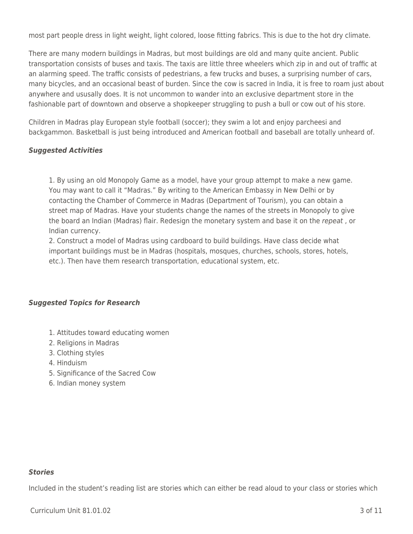most part people dress in light weight, light colored, loose fitting fabrics. This is due to the hot dry climate.

There are many modern buildings in Madras, but most buildings are old and many quite ancient. Public transportation consists of buses and taxis. The taxis are little three wheelers which zip in and out of traffic at an alarming speed. The traffic consists of pedestrians, a few trucks and buses, a surprising number of cars, many bicycles, and an occasional beast of burden. Since the cow is sacred in India, it is free to roam just about anywhere and ususally does. It is not uncommon to wander into an exclusive department store in the fashionable part of downtown and observe a shopkeeper struggling to push a bull or cow out of his store.

Children in Madras play European style football (soccer); they swim a lot and enjoy parcheesi and backgammon. Basketball is just being introduced and American football and baseball are totally unheard of.

### *Suggested Activities*

1. By using an old Monopoly Game as a model, have your group attempt to make a new game. You may want to call it "Madras." By writing to the American Embassy in New Delhi or by contacting the Chamber of Commerce in Madras (Department of Tourism), you can obtain a street map of Madras. Have your students change the names of the streets in Monopoly to give the board an Indian (Madras) flair. Redesign the monetary system and base it on the repeat, or Indian currency.

2. Construct a model of Madras using cardboard to build buildings. Have class decide what important buildings must be in Madras (hospitals, mosques, churches, schools, stores, hotels, etc.). Then have them research transportation, educational system, etc.

### *Suggested Topics for Research*

- 1. Attitudes toward educating women
- 2. Religions in Madras
- 3. Clothing styles
- 4. Hinduism
- 5. Significance of the Sacred Cow
- 6. Indian money system

#### *Stories*

Included in the student's reading list are stories which can either be read aloud to your class or stories which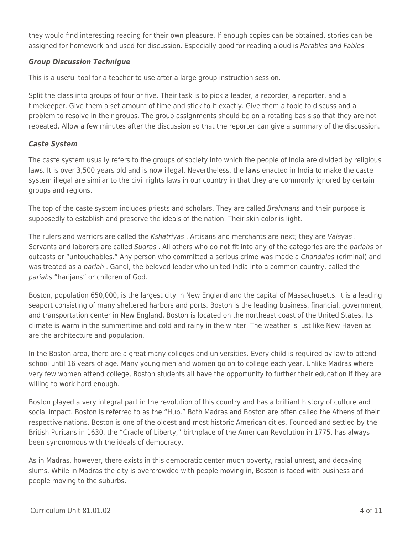they would find interesting reading for their own pleasure. If enough copies can be obtained, stories can be assigned for homework and used for discussion. Especially good for reading aloud is Parables and Fables.

# *Group Discussion Technigue*

This is a useful tool for a teacher to use after a large group instruction session.

Split the class into groups of four or five. Their task is to pick a leader, a recorder, a reporter, and a timekeeper. Give them a set amount of time and stick to it exactly. Give them a topic to discuss and a problem to resolve in their groups. The group assignments should be on a rotating basis so that they are not repeated. Allow a few minutes after the discussion so that the reporter can give a summary of the discussion.

# *Caste System*

The caste system usually refers to the groups of society into which the people of India are divided by religious laws. It is over 3,500 years old and is now illegal. Nevertheless, the laws enacted in India to make the caste system illegal are similar to the civil rights laws in our country in that they are commonly ignored by certain groups and regions.

The top of the caste system includes priests and scholars. They are called Brahmans and their purpose is supposedly to establish and preserve the ideals of the nation. Their skin color is light.

The rulers and warriors are called the *Kshatriyas*. Artisans and merchants are next; they are Vaisyas. Servants and laborers are called Sudras. All others who do not fit into any of the categories are the pariahs or outcasts or "untouchables." Any person who committed a serious crime was made a Chandalas (criminal) and was treated as a pariah . Gandi, the beloved leader who united India into a common country, called the pariahs "harijans" or children of God.

Boston, population 650,000, is the largest city in New England and the capital of Massachusetts. It is a leading seaport consisting of many sheltered harbors and ports. Boston is the leading business, financial, government, and transportation center in New England. Boston is located on the northeast coast of the United States. Its climate is warm in the summertime and cold and rainy in the winter. The weather is just like New Haven as are the architecture and population.

In the Boston area, there are a great many colleges and universities. Every child is required by law to attend school until 16 years of age. Many young men and women go on to college each year. Unlike Madras where very few women attend college, Boston students all have the opportunity to further their education if they are willing to work hard enough.

Boston played a very integral part in the revolution of this country and has a brilliant history of culture and social impact. Boston is referred to as the "Hub." Both Madras and Boston are often called the Athens of their respective nations. Boston is one of the oldest and most historic American cities. Founded and settled by the British Puritans in 1630, the "Cradle of Liberty," birthplace of the American Revolution in 1775, has always been synonomous with the ideals of democracy.

As in Madras, however, there exists in this democratic center much poverty, racial unrest, and decaying slums. While in Madras the city is overcrowded with people moving in, Boston is faced with business and people moving to the suburbs.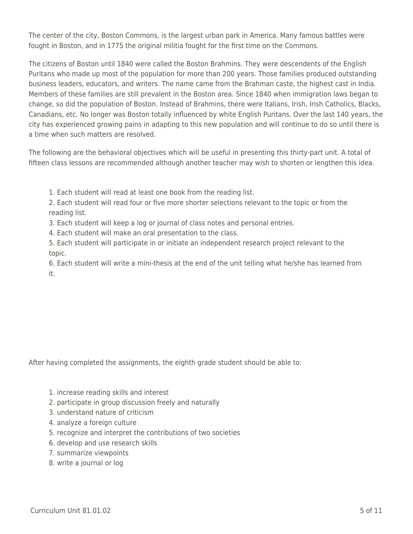The center of the city, Boston Commons, is the largest urban park in America. Many famous battles were fought in Boston, and in 1775 the original militia fought for the first time on the Commons.

The citizens of Boston until 1840 were called the Boston Brahmins. They were descendents of the English Puritans who made up most of the population for more than 200 years. Those families produced outstanding business leaders, educators, and writers. The name came from the Brahman caste, the highest cast in India. Members of these families are still prevalent in the Boston area. Since 1840 when immigration laws began to change, so did the population of Boston. Instead of Brahmins, there were Italians, Irish, Irish Catholics, Blacks, Canadians, etc. No longer was Boston totally influenced by white English Puritans. Over the last 140 years, the city has experienced growing pains in adapting to this new population and will continue to do so until there is a time when such matters are resolved.

The following are the behavioral objectives which will be useful in presenting this thirty-part unit. A total of fifteen class lessons are recommended although another teacher may wish to shorten or lengthen this idea.

- 1. Each student will read at least one book from the reading list.
- 2. Each student will read four or five more shorter selections relevant to the topic or from the reading list.
- 3. Each student will keep a log or journal of class notes and personal entries.
- 4. Each student will make an oral presentation to the class.

5. Each student will participate in or initiate an independent research project relevant to the topic.

6. Each student will write a mini-thesis at the end of the unit telling what he/she has learned from it.

After having completed the assignments, the eighth grade student should be able to:

- 1. increase reading skills and interest
- 2. participate in group discussion freely and naturally
- 3. understand nature of criticism
- 4. analyze a foreign culture
- 5. recognize and interpret the contributions of two societies
- 6. develop and use research skills
- 7. summarize viewpoints
- 8. write a journal or log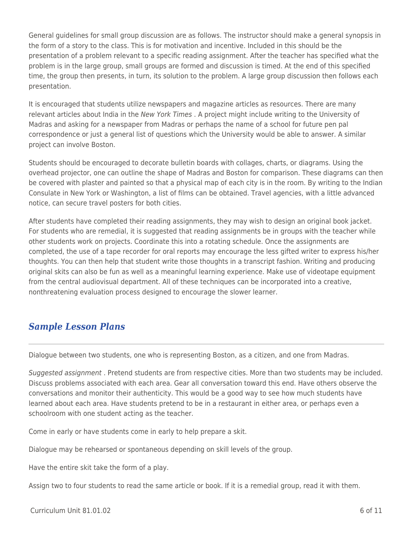General guidelines for small group discussion are as follows. The instructor should make a general synopsis in the form of a story to the class. This is for motivation and incentive. Included in this should be the presentation of a problem relevant to a specific reading assignment. After the teacher has specified what the problem is in the large group, small groups are formed and discussion is timed. At the end of this specified time, the group then presents, in turn, its solution to the problem. A large group discussion then follows each presentation.

It is encouraged that students utilize newspapers and magazine articles as resources. There are many relevant articles about India in the New York Times . A project might include writing to the University of Madras and asking for a newspaper from Madras or perhaps the name of a school for future pen pal correspondence or just a general list of questions which the University would be able to answer. A similar project can involve Boston.

Students should be encouraged to decorate bulletin boards with collages, charts, or diagrams. Using the overhead projector, one can outline the shape of Madras and Boston for comparison. These diagrams can then be covered with plaster and painted so that a physical map of each city is in the room. By writing to the Indian Consulate in New York or Washington, a list of films can be obtained. Travel agencies, with a little advanced notice, can secure travel posters for both cities.

After students have completed their reading assignments, they may wish to design an original book jacket. For students who are remedial, it is suggested that reading assignments be in groups with the teacher while other students work on projects. Coordinate this into a rotating schedule. Once the assignments are completed, the use of a tape recorder for oral reports may encourage the less gifted writer to express his/her thoughts. You can then help that student write those thoughts in a transcript fashion. Writing and producing original skits can also be fun as well as a meaningful learning experience. Make use of videotape equipment from the central audiovisual department. All of these techniques can be incorporated into a creative, nonthreatening evaluation process designed to encourage the slower learner.

# *Sample Lesson Plans*

Dialogue between two students, one who is representing Boston, as a citizen, and one from Madras.

Suggested assignment . Pretend students are from respective cities. More than two students may be included. Discuss problems associated with each area. Gear all conversation toward this end. Have others observe the conversations and monitor their authenticity. This would be a good way to see how much students have learned about each area. Have students pretend to be in a restaurant in either area, or perhaps even a schoolroom with one student acting as the teacher.

Come in early or have students come in early to help prepare a skit.

Dialogue may be rehearsed or spontaneous depending on skill levels of the group.

Have the entire skit take the form of a play.

Assign two to four students to read the same article or book. If it is a remedial group, read it with them.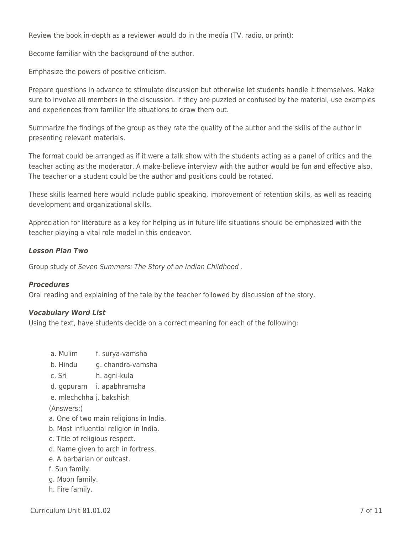Review the book in-depth as a reviewer would do in the media (TV, radio, or print):

Become familiar with the background of the author.

Emphasize the powers of positive criticism.

Prepare questions in advance to stimulate discussion but otherwise let students handle it themselves. Make sure to involve all members in the discussion. If they are puzzled or confused by the material, use examples and experiences from familiar life situations to draw them out.

Summarize the findings of the group as they rate the quality of the author and the skills of the author in presenting relevant materials.

The format could be arranged as if it were a talk show with the students acting as a panel of critics and the teacher acting as the moderator. A make-believe interview with the author would be fun and effective also. The teacher or a student could be the author and positions could be rotated.

These skills learned here would include public speaking, improvement of retention skills, as well as reading development and organizational skills.

Appreciation for literature as a key for helping us in future life situations should be emphasized with the teacher playing a vital role model in this endeavor.

#### *Lesson Plan Two*

Group study of Seven Summers: The Story of an Indian Childhood .

#### *Procedures*

Oral reading and explaining of the tale by the teacher followed by discussion of the story.

#### *Vocabulary Word List*

Using the text, have students decide on a correct meaning for each of the following:

- a. Mulim f. surya-vamsha
- b. Hindu a. chandra-vamsha
- c. Sri h. agni-kula
- d. gopuram i. apabhramsha
- e. mlechchha j. bakshish

#### (Answers:)

- a. One of two main religions in India.
- b. Most influential religion in India.
- c. Title of religious respect.
- d. Name given to arch in fortress.
- e. A barbarian or outcast.
- f. Sun family.
- g. Moon family.
- h. Fire family.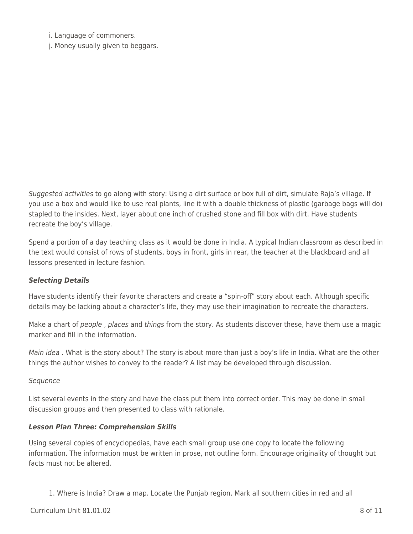i. Language of commoners.

j. Money usually given to beggars.

Suggested activities to go along with story: Using a dirt surface or box full of dirt, simulate Raja's village. If you use a box and would like to use real plants, line it with a double thickness of plastic (garbage bags will do) stapled to the insides. Next, layer about one inch of crushed stone and fill box with dirt. Have students recreate the boy's village.

Spend a portion of a day teaching class as it would be done in India. A typical Indian classroom as described in the text would consist of rows of students, boys in front, girls in rear, the teacher at the blackboard and all lessons presented in lecture fashion.

### *Selecting Details*

Have students identify their favorite characters and create a "spin-off" story about each. Although specific details may be lacking about a character's life, they may use their imagination to recreate the characters.

Make a chart of people, places and things from the story. As students discover these, have them use a magic marker and fill in the information.

Main idea . What is the story about? The story is about more than just a boy's life in India. What are the other things the author wishes to convey to the reader? A list may be developed through discussion.

#### Sequence

List several events in the story and have the class put them into correct order. This may be done in small discussion groups and then presented to class with rationale.

#### *Lesson Plan Three: Comprehension Skills*

Using several copies of encyclopedias, have each small group use one copy to locate the following information. The information must be written in prose, not outline form. Encourage originality of thought but facts must not be altered.

1. Where is India? Draw a map. Locate the Punjab region. Mark all southern cities in red and all

 $C$ urriculum Unit 81.01.02  $\qquad \qquad$  8 of 11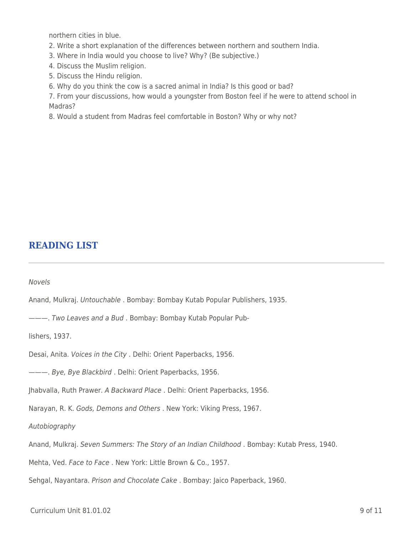northern cities in blue.

- 2. Write a short explanation of the differences between northern and southern India.
- 3. Where in India would you choose to live? Why? (Be subjective.)
- 4. Discuss the Muslim religion.
- 5. Discuss the Hindu religion.
- 6. Why do you think the cow is a sacred animal in India? Is this good or bad?

7. From your discussions, how would a youngster from Boston feel if he were to attend school in Madras?

8. Would a student from Madras feel comfortable in Boston? Why or why not?

# **READING LIST**

Novels

Anand, Mulkraj. Untouchable . Bombay: Bombay Kutab Popular Publishers, 1935.

———. Two Leaves and a Bud . Bombay: Bombay Kutab Popular Pub-

lishers, 1937.

Desai, Anita. Voices in the City . Delhi: Orient Paperbacks, 1956.

———. Bye, Bye Blackbird . Delhi: Orient Paperbacks, 1956.

Jhabvalla, Ruth Prawer. A Backward Place . Delhi: Orient Paperbacks, 1956.

Narayan, R. K. Gods, Demons and Others . New York: Viking Press, 1967.

Autobiography

Anand, Mulkraj. Seven Summers: The Story of an Indian Childhood . Bombay: Kutab Press, 1940.

Mehta, Ved. Face to Face. New York: Little Brown & Co., 1957.

Sehgal, Nayantara. Prison and Chocolate Cake . Bombay: Jaico Paperback, 1960.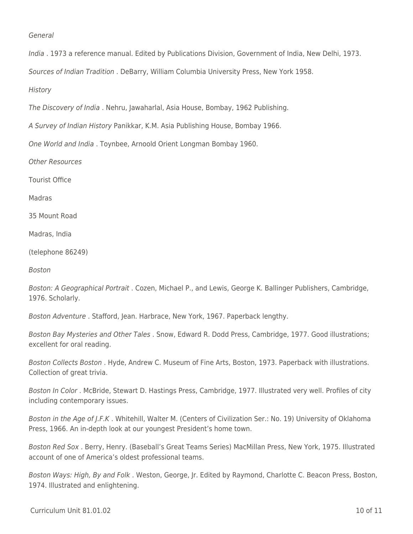#### General

India . 1973 a reference manual. Edited by Publications Division, Government of India, New Delhi, 1973.

Sources of Indian Tradition . DeBarry, William Columbia University Press, New York 1958.

**History** 

The Discovery of India . Nehru, Jawaharlal, Asia House, Bombay, 1962 Publishing.

A Survey of Indian History Panikkar, K.M. Asia Publishing House, Bombay 1966.

One World and India . Toynbee, Arnoold Orient Longman Bombay 1960.

Other Resources

Tourist Office

Madras

35 Mount Road

Madras, India

(telephone 86249)

Boston

Boston: A Geographical Portrait . Cozen, Michael P., and Lewis, George K. Ballinger Publishers, Cambridge, 1976. Scholarly.

Boston Adventure . Stafford, Jean. Harbrace, New York, 1967. Paperback lengthy.

Boston Bay Mysteries and Other Tales . Snow, Edward R. Dodd Press, Cambridge, 1977. Good illustrations; excellent for oral reading.

Boston Collects Boston . Hyde, Andrew C. Museum of Fine Arts, Boston, 1973. Paperback with illustrations. Collection of great trivia.

Boston In Color . McBride, Stewart D. Hastings Press, Cambridge, 1977. Illustrated very well. Profiles of city including contemporary issues.

Boston in the Age of J.F.K . Whitehill, Walter M. (Centers of Civilization Ser.: No. 19) University of Oklahoma Press, 1966. An in-depth look at our youngest President's home town.

Boston Red Sox . Berry, Henry. (Baseball's Great Teams Series) MacMillan Press, New York, 1975. Illustrated account of one of America's oldest professional teams.

Boston Ways: High, By and Folk . Weston, George, Jr. Edited by Raymond, Charlotte C. Beacon Press, Boston, 1974. Illustrated and enlightening.